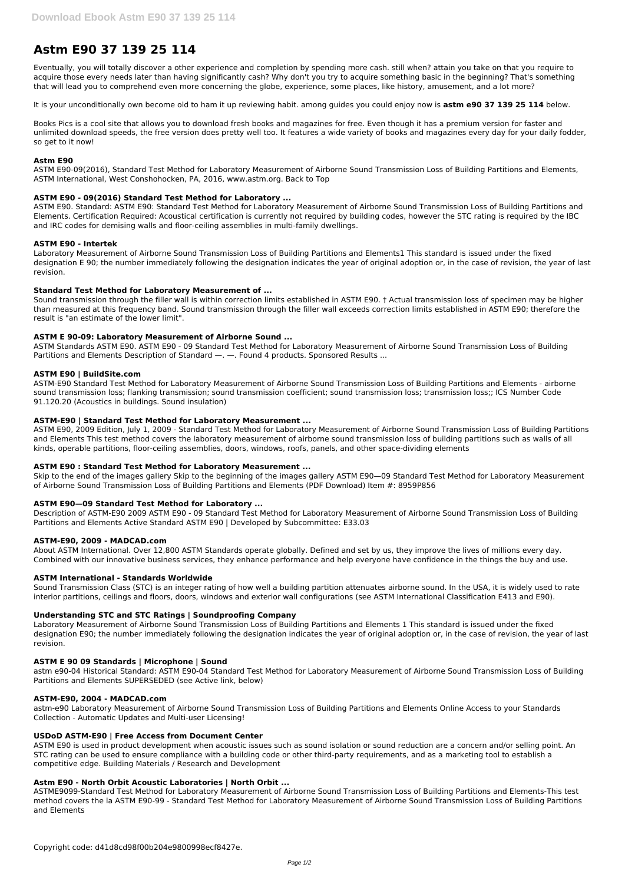# **Astm E90 37 139 25 114**

Eventually, you will totally discover a other experience and completion by spending more cash. still when? attain you take on that you require to acquire those every needs later than having significantly cash? Why don't you try to acquire something basic in the beginning? That's something that will lead you to comprehend even more concerning the globe, experience, some places, like history, amusement, and a lot more?

It is your unconditionally own become old to ham it up reviewing habit. among guides you could enjoy now is **astm e90 37 139 25 114** below.

Books Pics is a cool site that allows you to download fresh books and magazines for free. Even though it has a premium version for faster and unlimited download speeds, the free version does pretty well too. It features a wide variety of books and magazines every day for your daily fodder, so get to it now!

#### **Astm E90**

ASTM E90-09(2016), Standard Test Method for Laboratory Measurement of Airborne Sound Transmission Loss of Building Partitions and Elements, ASTM International, West Conshohocken, PA, 2016, www.astm.org. Back to Top

ASTM Standards ASTM E90. ASTM E90 - 09 Standard Test Method for Laboratory Measurement of Airborne Sound Transmission Loss of Building Partitions and Elements Description of Standard —. —. Found 4 products. Sponsored Results ...

#### **ASTM E90 - 09(2016) Standard Test Method for Laboratory ...**

ASTM E90. Standard: ASTM E90: Standard Test Method for Laboratory Measurement of Airborne Sound Transmission Loss of Building Partitions and Elements. Certification Required: Acoustical certification is currently not required by building codes, however the STC rating is required by the IBC and IRC codes for demising walls and floor-ceiling assemblies in multi-family dwellings.

#### **ASTM E90 - Intertek**

Laboratory Measurement of Airborne Sound Transmission Loss of Building Partitions and Elements1 This standard is issued under the fixed designation E 90; the number immediately following the designation indicates the year of original adoption or, in the case of revision, the year of last revision.

#### **Standard Test Method for Laboratory Measurement of ...**

Sound transmission through the filler wall is within correction limits established in ASTM E90. † Actual transmission loss of specimen may be higher than measured at this frequency band. Sound transmission through the filler wall exceeds correction limits established in ASTM E90; therefore the result is "an estimate of the lower limit".

### **ASTM E 90-09: Laboratory Measurement of Airborne Sound ...**

#### **ASTM E90 | BuildSite.com**

ASTM-E90 Standard Test Method for Laboratory Measurement of Airborne Sound Transmission Loss of Building Partitions and Elements - airborne sound transmission loss; flanking transmission; sound transmission coefficient; sound transmission loss; transmission loss;; ICS Number Code 91.120.20 (Acoustics in buildings. Sound insulation)

#### **ASTM-E90 | Standard Test Method for Laboratory Measurement ...**

ASTM E90, 2009 Edition, July 1, 2009 - Standard Test Method for Laboratory Measurement of Airborne Sound Transmission Loss of Building Partitions and Elements This test method covers the laboratory measurement of airborne sound transmission loss of building partitions such as walls of all kinds, operable partitions, floor-ceiling assemblies, doors, windows, roofs, panels, and other space-dividing elements

#### **ASTM E90 : Standard Test Method for Laboratory Measurement ...**

Skip to the end of the images gallery Skip to the beginning of the images gallery ASTM E90—09 Standard Test Method for Laboratory Measurement of Airborne Sound Transmission Loss of Building Partitions and Elements (PDF Download) Item #: 8959P856

#### **ASTM E90—09 Standard Test Method for Laboratory ...**

Description of ASTM-E90 2009 ASTM E90 - 09 Standard Test Method for Laboratory Measurement of Airborne Sound Transmission Loss of Building Partitions and Elements Active Standard ASTM E90 | Developed by Subcommittee: E33.03

#### **ASTM-E90, 2009 - MADCAD.com**

About ASTM International. Over 12,800 ASTM Standards operate globally. Defined and set by us, they improve the lives of millions every day. Combined with our innovative business services, they enhance performance and help everyone have confidence in the things the buy and use.

#### **ASTM International - Standards Worldwide**

Sound Transmission Class (STC) is an integer rating of how well a building partition attenuates airborne sound. In the USA, it is widely used to rate interior partitions, ceilings and floors, doors, windows and exterior wall configurations (see ASTM International Classification E413 and E90).

#### **Understanding STC and STC Ratings | Soundproofing Company**

Laboratory Measurement of Airborne Sound Transmission Loss of Building Partitions and Elements 1 This standard is issued under the fixed designation E90; the number immediately following the designation indicates the year of original adoption or, in the case of revision, the year of last revision.

#### **ASTM E 90 09 Standards | Microphone | Sound**

astm e90-04 Historical Standard: ASTM E90-04 Standard Test Method for Laboratory Measurement of Airborne Sound Transmission Loss of Building Partitions and Elements SUPERSEDED (see Active link, below)

#### **ASTM-E90, 2004 - MADCAD.com**

astm-e90 Laboratory Measurement of Airborne Sound Transmission Loss of Building Partitions and Elements Online Access to your Standards Collection - Automatic Updates and Multi-user Licensing!

### **USDoD ASTM-E90 | Free Access from Document Center**

ASTM E90 is used in product development when acoustic issues such as sound isolation or sound reduction are a concern and/or selling point. An STC rating can be used to ensure compliance with a building code or other third-party requirements, and as a marketing tool to establish a competitive edge. Building Materials / Research and Development

## **Astm E90 - North Orbit Acoustic Laboratories | North Orbit ...**

ASTME9099-Standard Test Method for Laboratory Measurement of Airborne Sound Transmission Loss of Building Partitions and Elements-This test method covers the la ASTM E90-99 - Standard Test Method for Laboratory Measurement of Airborne Sound Transmission Loss of Building Partitions and Elements

Copyright code: d41d8cd98f00b204e9800998ecf8427e.